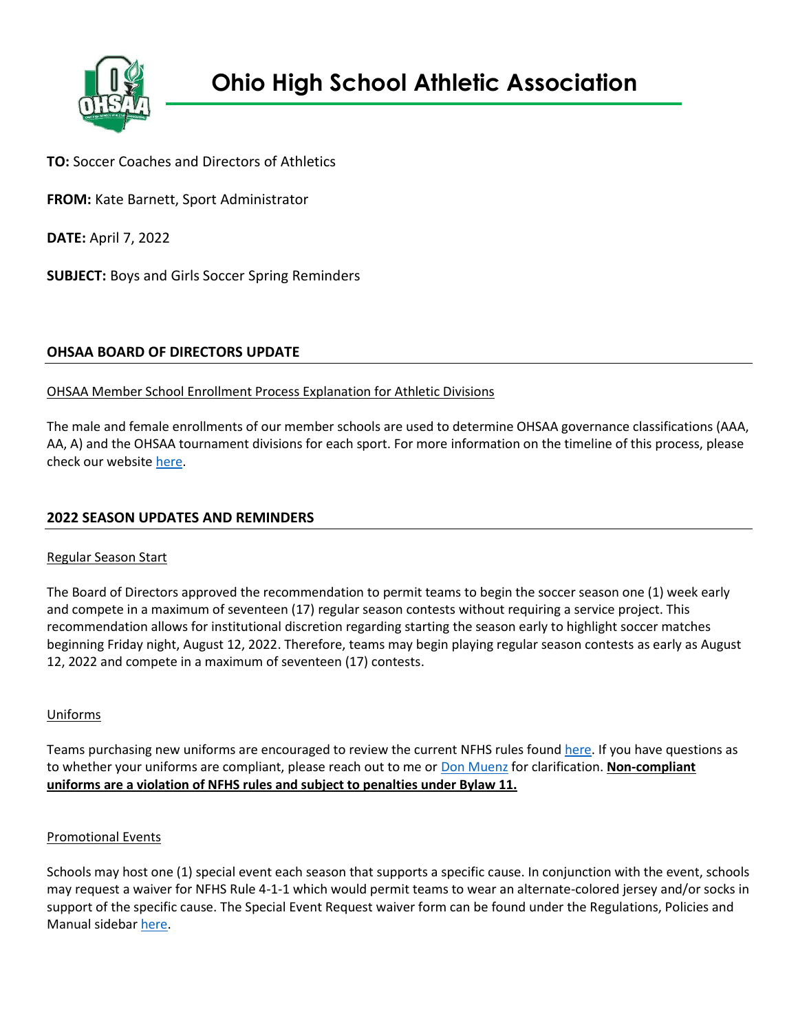

**TO:** Soccer Coaches and Directors of Athletics

**FROM:** Kate Barnett, Sport Administrator

**DATE:** April 7, 2022

**SUBJECT:** Boys and Girls Soccer Spring Reminders

# **OHSAA BOARD OF DIRECTORS UPDATE**

## OHSAA Member School Enrollment Process Explanation for Athletic Divisions

The male and female enrollments of our member schools are used to determine OHSAA governance classifications (AAA, AA, A) and the OHSAA tournament divisions for each sport. For more information on the timeline of this process, please check our websit[e here.](https://www.ohsaa.org/school-resources/school-enrollment)

# **2022 SEASON UPDATES AND REMINDERS**

### Regular Season Start

The Board of Directors approved the recommendation to permit teams to begin the soccer season one (1) week early and compete in a maximum of seventeen (17) regular season contests without requiring a service project. This recommendation allows for institutional discretion regarding starting the season early to highlight soccer matches beginning Friday night, August 12, 2022. Therefore, teams may begin playing regular season contests as early as August 12, 2022 and compete in a maximum of seventeen (17) contests.

### Uniforms

Teams purchasing new uniforms are encouraged to review the current NFHS rules foun[d here.](https://www.ohsaa.org/SchoolResources/uniform/soccer) If you have questions as to whether your uniforms are compliant, please reach out to me or [Don Muenz](mailto:butsir@columbus.rr.com) for clarification. **Non-compliant uniforms are a violation of NFHS rules and subject to penalties under Bylaw 11.**

### Promotional Events

Schools may host one (1) special event each season that supports a specific cause. In conjunction with the event, schools may request a waiver for NFHS Rule 4-1-1 which would permit teams to wear an alternate-colored jersey and/or socks in support of the specific cause. The Special Event Request waiver form can be found under the Regulations, Policies and Manual sidebar [here.](https://www.ohsaa.org/sports/soccer)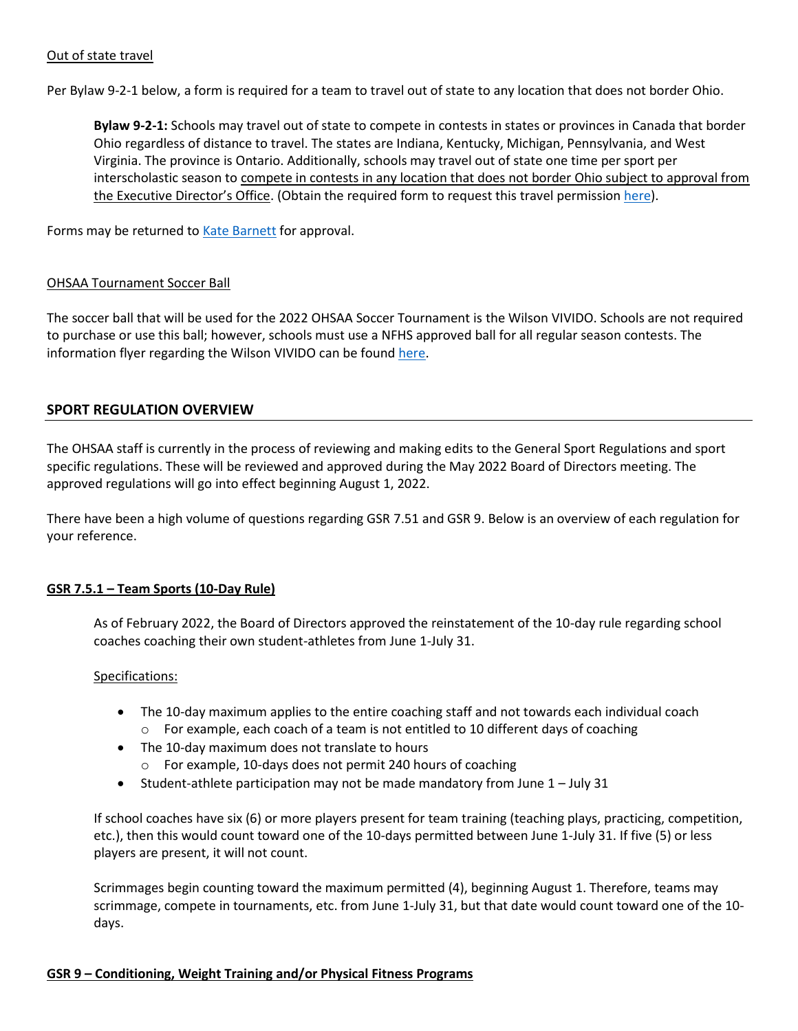### Out of state travel

Per Bylaw 9-2-1 below, a form is required for a team to travel out of state to any location that does not border Ohio.

**Bylaw 9-2-1:** Schools may travel out of state to compete in contests in states or provinces in Canada that border Ohio regardless of distance to travel. The states are Indiana, Kentucky, Michigan, Pennsylvania, and West Virginia. The province is Ontario. Additionally, schools may travel out of state one time per sport per interscholastic season to compete in contests in any location that does not border Ohio subject to approval from the Executive Director's Office. (Obtain the required form to request this travel permission [here\)](https://ohsaaweb.blob.core.windows.net/files/Eligibility/forms/NonBorderingStateApproval.pdf).

Forms may be returned t[o Kate Barnett](mailto:kbarnett@ohsaa.org) for approval.

#### OHSAA Tournament Soccer Ball

The soccer ball that will be used for the 2022 OHSAA Soccer Tournament is the Wilson VIVIDO. Schools are not required to purchase or use this ball; however, schools must use a NFHS approved ball for all regular season contests. The information flyer regarding the Wilson VIVIDO can be foun[d here.](https://ohsaaweb.blob.core.windows.net/files/Sports/Soccer/2022/Wilson_Vivido_Soccer_Ball_OHSAA.pdf)

### **SPORT REGULATION OVERVIEW**

The OHSAA staff is currently in the process of reviewing and making edits to the General Sport Regulations and sport specific regulations. These will be reviewed and approved during the May 2022 Board of Directors meeting. The approved regulations will go into effect beginning August 1, 2022.

There have been a high volume of questions regarding GSR 7.51 and GSR 9. Below is an overview of each regulation for your reference.

### **GSR 7.5.1 – Team Sports (10-Day Rule)**

As of February 2022, the Board of Directors approved the reinstatement of the 10-day rule regarding school coaches coaching their own student-athletes from June 1-July 31.

#### Specifications:

- The 10-day maximum applies to the entire coaching staff and not towards each individual coach  $\circ$  For example, each coach of a team is not entitled to 10 different days of coaching
- The 10-day maximum does not translate to hours
	- o For example, 10-days does not permit 240 hours of coaching
- Student-athlete participation may not be made mandatory from June  $1 -$  July 31

If school coaches have six (6) or more players present for team training (teaching plays, practicing, competition, etc.), then this would count toward one of the 10-days permitted between June 1-July 31. If five (5) or less players are present, it will not count.

Scrimmages begin counting toward the maximum permitted (4), beginning August 1. Therefore, teams may scrimmage, compete in tournaments, etc. from June 1-July 31, but that date would count toward one of the 10 days.

### **GSR 9 – Conditioning, Weight Training and/or Physical Fitness Programs**